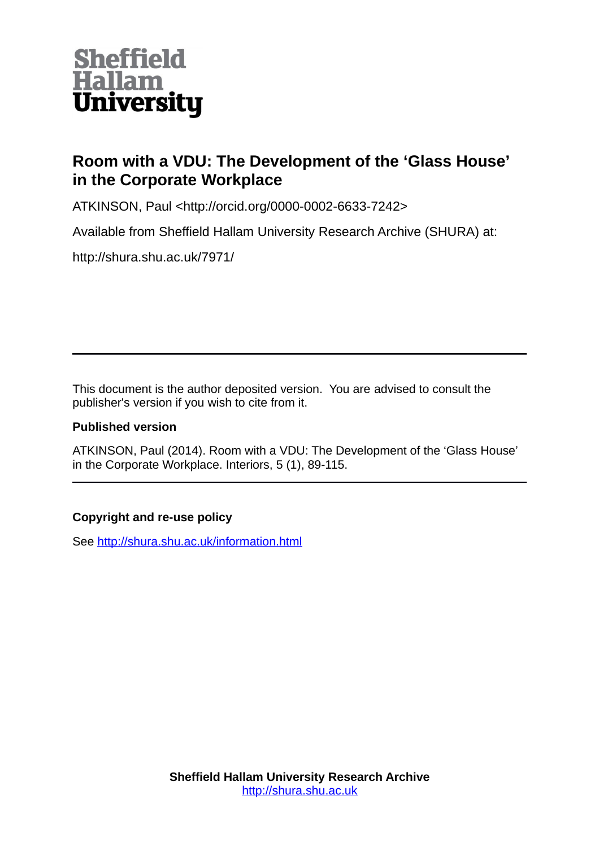

# **Room with a VDU: The Development of the 'Glass House' in the Corporate Workplace**

ATKINSON, Paul <http://orcid.org/0000-0002-6633-7242>

Available from Sheffield Hallam University Research Archive (SHURA) at:

http://shura.shu.ac.uk/7971/

This document is the author deposited version. You are advised to consult the publisher's version if you wish to cite from it.

## **Published version**

ATKINSON, Paul (2014). Room with a VDU: The Development of the 'Glass House' in the Corporate Workplace. Interiors, 5 (1), 89-115.

## **Copyright and re-use policy**

See<http://shura.shu.ac.uk/information.html>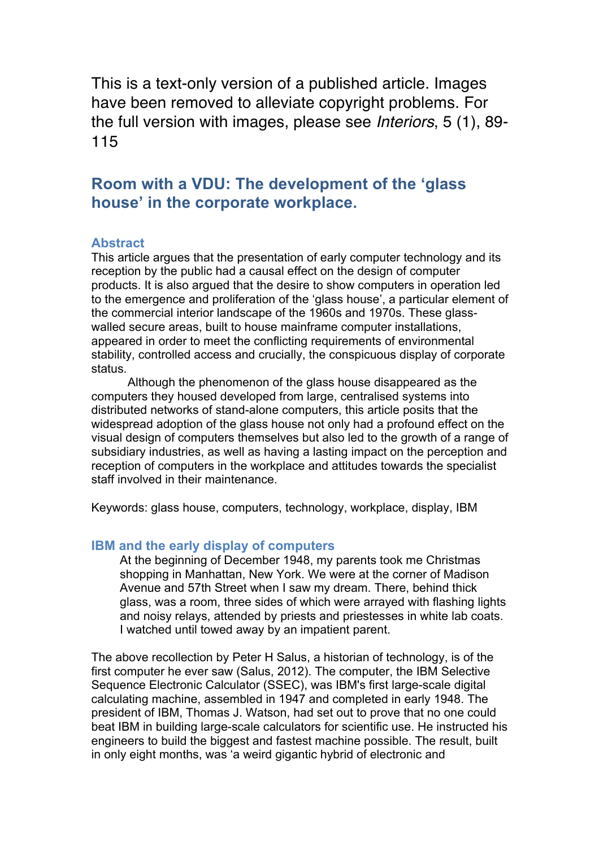This is a text-only version of a published article. Images have been removed to alleviate copyright problems. For the full version with images, please see *Interiors*, 5 (1), 89- 115

# **Room with a VDU: The development of the 'glass house' in the corporate workplace.**

# **Abstract**

This article argues that the presentation of early computer technology and its reception by the public had a causal effect on the design of computer products. It is also argued that the desire to show computers in operation led to the emergence and proliferation of the 'glass house', a particular element of the commercial interior landscape of the 1960s and 1970s. These glasswalled secure areas, built to house mainframe computer installations, appeared in order to meet the conflicting requirements of environmental stability, controlled access and crucially, the conspicuous display of corporate status.

Although the phenomenon of the glass house disappeared as the computers they housed developed from large, centralised systems into distributed networks of stand-alone computers, this article posits that the widespread adoption of the glass house not only had a profound effect on the visual design of computers themselves but also led to the growth of a range of subsidiary industries, as well as having a lasting impact on the perception and reception of computers in the workplace and attitudes towards the specialist staff involved in their maintenance.

Keywords: glass house, computers, technology, workplace, display, IBM

# **IBM and the early display of computers**

At the beginning of December 1948, my parents took me Christmas shopping in Manhattan, New York. We were at the corner of Madison Avenue and 57th Street when I saw my dream. There, behind thick glass, was a room, three sides of which were arrayed with flashing lights and noisy relays, attended by priests and priestesses in white lab coats. I watched until towed away by an impatient parent.

The above recollection by Peter H Salus, a historian of technology, is of the first computer he ever saw (Salus, 2012). The computer, the IBM Selective Sequence Electronic Calculator (SSEC), was IBM's first large-scale digital calculating machine, assembled in 1947 and completed in early 1948. The president of IBM, Thomas J. Watson, had set out to prove that no one could beat IBM in building large-scale calculators for scientific use. He instructed his engineers to build the biggest and fastest machine possible. The result, built in only eight months, was 'a weird gigantic hybrid of electronic and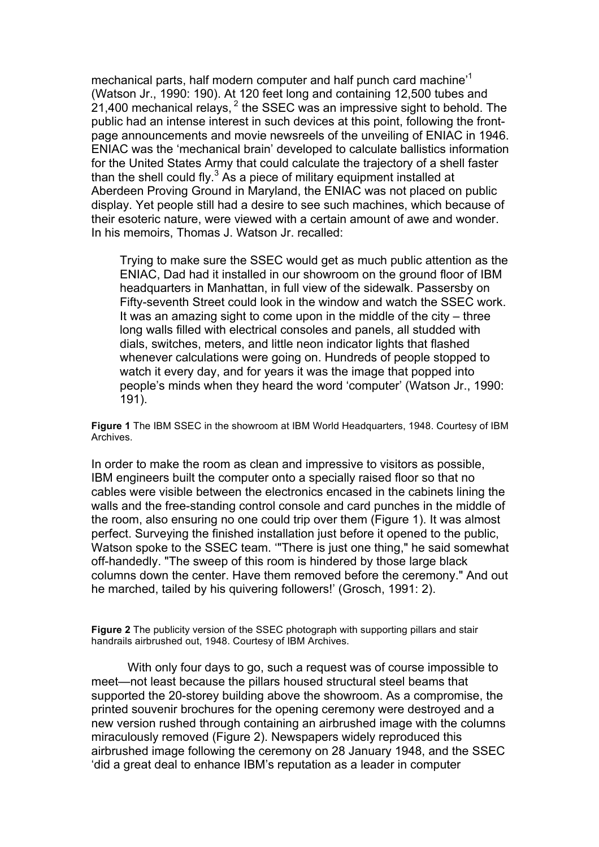mechanical parts, half modern computer and half punch card machine<sup>'1</sup> (Watson Jr., 1990: 190). At 120 feet long and containing 12,500 tubes and 21,400 mechanical relays,  $2$  the SSEC was an impressive sight to behold. The public had an intense interest in such devices at this point, following the frontpage announcements and movie newsreels of the unveiling of ENIAC in 1946. ENIAC was the 'mechanical brain' developed to calculate ballistics information for the United States Army that could calculate the trajectory of a shell faster than the shell could fly. $3$  As a piece of military equipment installed at Aberdeen Proving Ground in Maryland, the ENIAC was not placed on public display. Yet people still had a desire to see such machines, which because of their esoteric nature, were viewed with a certain amount of awe and wonder. In his memoirs, Thomas J. Watson Jr. recalled:

Trying to make sure the SSEC would get as much public attention as the ENIAC, Dad had it installed in our showroom on the ground floor of IBM headquarters in Manhattan, in full view of the sidewalk. Passersby on Fifty-seventh Street could look in the window and watch the SSEC work. It was an amazing sight to come upon in the middle of the city – three long walls filled with electrical consoles and panels, all studded with dials, switches, meters, and little neon indicator lights that flashed whenever calculations were going on. Hundreds of people stopped to watch it every day, and for years it was the image that popped into people's minds when they heard the word 'computer' (Watson Jr., 1990: 191).

**Figure 1** The IBM SSEC in the showroom at IBM World Headquarters, 1948. Courtesy of IBM Archives.

In order to make the room as clean and impressive to visitors as possible, IBM engineers built the computer onto a specially raised floor so that no cables were visible between the electronics encased in the cabinets lining the walls and the free-standing control console and card punches in the middle of the room, also ensuring no one could trip over them (Figure 1). It was almost perfect. Surveying the finished installation just before it opened to the public, Watson spoke to the SSEC team. '"There is just one thing," he said somewhat off-handedly. "The sweep of this room is hindered by those large black columns down the center. Have them removed before the ceremony." And out he marched, tailed by his quivering followers!' (Grosch, 1991: 2).

**Figure 2** The publicity version of the SSEC photograph with supporting pillars and stair handrails airbrushed out, 1948. Courtesy of IBM Archives.

With only four days to go, such a request was of course impossible to meet—not least because the pillars housed structural steel beams that supported the 20-storey building above the showroom. As a compromise, the printed souvenir brochures for the opening ceremony were destroyed and a new version rushed through containing an airbrushed image with the columns miraculously removed (Figure 2). Newspapers widely reproduced this airbrushed image following the ceremony on 28 January 1948, and the SSEC 'did a great deal to enhance IBM's reputation as a leader in computer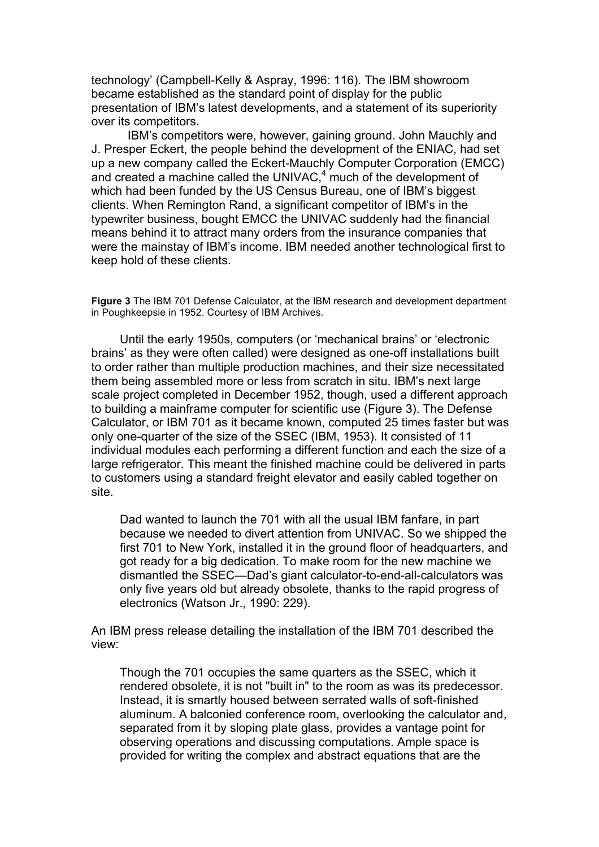technology' (Campbell-Kelly & Aspray, 1996: 116). The IBM showroom became established as the standard point of display for the public presentation of IBM's latest developments, and a statement of its superiority over its competitors.

IBM's competitors were, however, gaining ground. John Mauchly and J. Presper Eckert, the people behind the development of the ENIAC, had set up a new company called the Eckert-Mauchly Computer Corporation (EMCC) and created a machine called the UNIVAC.<sup>4</sup> much of the development of which had been funded by the US Census Bureau, one of IBM's biggest clients. When Remington Rand, a significant competitor of IBM's in the typewriter business, bought EMCC the UNIVAC suddenly had the financial means behind it to attract many orders from the insurance companies that were the mainstay of IBM's income. IBM needed another technological first to keep hold of these clients.

**Figure 3** The IBM 701 Defense Calculator, at the IBM research and development department in Poughkeepsie in 1952. Courtesy of IBM Archives.

Until the early 1950s, computers (or 'mechanical brains' or 'electronic brains' as they were often called) were designed as one-off installations built to order rather than multiple production machines, and their size necessitated them being assembled more or less from scratch in situ. IBM's next large scale project completed in December 1952, though, used a different approach to building a mainframe computer for scientific use (Figure 3). The Defense Calculator, or IBM 701 as it became known, computed 25 times faster but was only one-quarter of the size of the SSEC (IBM, 1953). It consisted of 11 individual modules each performing a different function and each the size of a large refrigerator. This meant the finished machine could be delivered in parts to customers using a standard freight elevator and easily cabled together on site.

Dad wanted to launch the 701 with all the usual IBM fanfare, in part because we needed to divert attention from UNIVAC. So we shipped the first 701 to New York, installed it in the ground floor of headquarters, and got ready for a big dedication. To make room for the new machine we dismantled the SSEC—Dad's giant calculator-to-end-all-calculators was only five years old but already obsolete, thanks to the rapid progress of electronics (Watson Jr., 1990: 229).

An IBM press release detailing the installation of the IBM 701 described the view:

Though the 701 occupies the same quarters as the SSEC, which it rendered obsolete, it is not "built in" to the room as was its predecessor. Instead, it is smartly housed between serrated walls of soft-finished aluminum. A balconied conference room, overlooking the calculator and, separated from it by sloping plate glass, provides a vantage point for observing operations and discussing computations. Ample space is provided for writing the complex and abstract equations that are the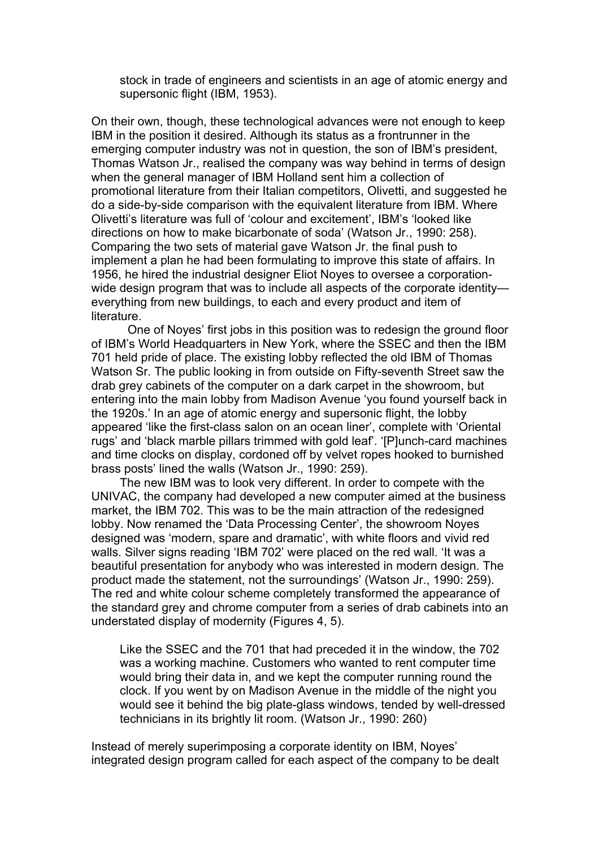stock in trade of engineers and scientists in an age of atomic energy and supersonic flight (IBM, 1953).

On their own, though, these technological advances were not enough to keep IBM in the position it desired. Although its status as a frontrunner in the emerging computer industry was not in question, the son of IBM's president, Thomas Watson Jr., realised the company was way behind in terms of design when the general manager of IBM Holland sent him a collection of promotional literature from their Italian competitors, Olivetti, and suggested he do a side-by-side comparison with the equivalent literature from IBM. Where Olivetti's literature was full of 'colour and excitement', IBM's 'looked like directions on how to make bicarbonate of soda' (Watson Jr., 1990: 258). Comparing the two sets of material gave Watson Jr. the final push to implement a plan he had been formulating to improve this state of affairs. In 1956, he hired the industrial designer Eliot Noyes to oversee a corporationwide design program that was to include all aspects of the corporate identity everything from new buildings, to each and every product and item of literature.

One of Noyes' first jobs in this position was to redesign the ground floor of IBM's World Headquarters in New York, where the SSEC and then the IBM 701 held pride of place. The existing lobby reflected the old IBM of Thomas Watson Sr. The public looking in from outside on Fifty-seventh Street saw the drab grey cabinets of the computer on a dark carpet in the showroom, but entering into the main lobby from Madison Avenue 'you found yourself back in the 1920s.' In an age of atomic energy and supersonic flight, the lobby appeared 'like the first-class salon on an ocean liner', complete with 'Oriental rugs' and 'black marble pillars trimmed with gold leaf'. '[P]unch-card machines and time clocks on display, cordoned off by velvet ropes hooked to burnished brass posts' lined the walls (Watson Jr., 1990: 259).

The new IBM was to look very different. In order to compete with the UNIVAC, the company had developed a new computer aimed at the business market, the IBM 702. This was to be the main attraction of the redesigned lobby. Now renamed the 'Data Processing Center', the showroom Noyes designed was 'modern, spare and dramatic', with white floors and vivid red walls. Silver signs reading 'IBM 702' were placed on the red wall. 'It was a beautiful presentation for anybody who was interested in modern design. The product made the statement, not the surroundings' (Watson Jr., 1990: 259). The red and white colour scheme completely transformed the appearance of the standard grey and chrome computer from a series of drab cabinets into an understated display of modernity (Figures 4, 5).

Like the SSEC and the 701 that had preceded it in the window, the 702 was a working machine. Customers who wanted to rent computer time would bring their data in, and we kept the computer running round the clock. If you went by on Madison Avenue in the middle of the night you would see it behind the big plate-glass windows, tended by well-dressed technicians in its brightly lit room. (Watson Jr., 1990: 260)

Instead of merely superimposing a corporate identity on IBM, Noyes' integrated design program called for each aspect of the company to be dealt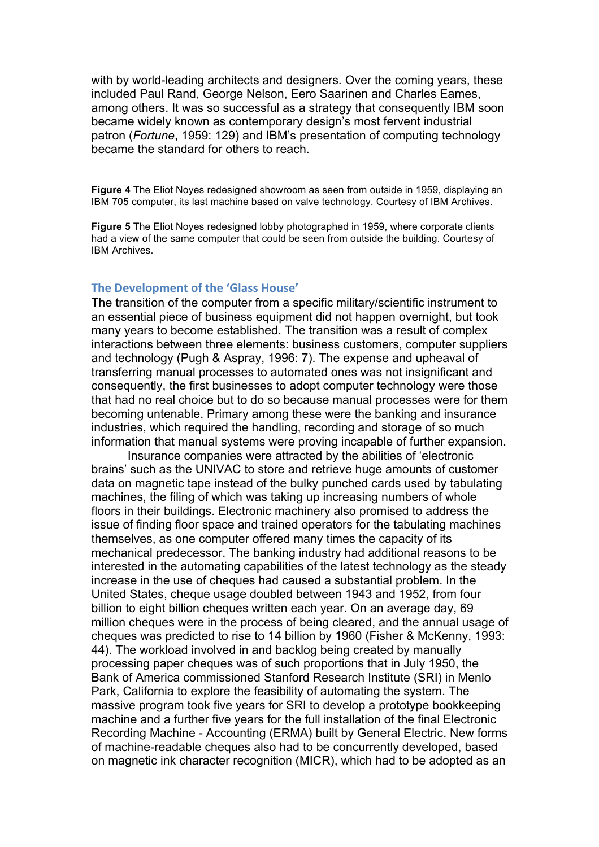with by world-leading architects and designers. Over the coming years, these included Paul Rand, George Nelson, Eero Saarinen and Charles Eames, among others. It was so successful as a strategy that consequently IBM soon became widely known as contemporary design's most fervent industrial patron (*Fortune*, 1959: 129) and IBM's presentation of computing technology became the standard for others to reach.

**Figure 4** The Eliot Noyes redesigned showroom as seen from outside in 1959, displaying an IBM 705 computer, its last machine based on valve technology. Courtesy of IBM Archives.

**Figure 5** The Eliot Noyes redesigned lobby photographed in 1959, where corporate clients had a view of the same computer that could be seen from outside the building. Courtesy of IBM Archives.

### **The Development of the 'Glass House'**

The transition of the computer from a specific military/scientific instrument to an essential piece of business equipment did not happen overnight, but took many years to become established. The transition was a result of complex interactions between three elements: business customers, computer suppliers and technology (Pugh & Aspray, 1996: 7). The expense and upheaval of transferring manual processes to automated ones was not insignificant and consequently, the first businesses to adopt computer technology were those that had no real choice but to do so because manual processes were for them becoming untenable. Primary among these were the banking and insurance industries, which required the handling, recording and storage of so much information that manual systems were proving incapable of further expansion.

Insurance companies were attracted by the abilities of 'electronic brains' such as the UNIVAC to store and retrieve huge amounts of customer data on magnetic tape instead of the bulky punched cards used by tabulating machines, the filing of which was taking up increasing numbers of whole floors in their buildings. Electronic machinery also promised to address the issue of finding floor space and trained operators for the tabulating machines themselves, as one computer offered many times the capacity of its mechanical predecessor. The banking industry had additional reasons to be interested in the automating capabilities of the latest technology as the steady increase in the use of cheques had caused a substantial problem. In the United States, cheque usage doubled between 1943 and 1952, from four billion to eight billion cheques written each year. On an average day, 69 million cheques were in the process of being cleared, and the annual usage of cheques was predicted to rise to 14 billion by 1960 (Fisher & McKenny, 1993: 44). The workload involved in and backlog being created by manually processing paper cheques was of such proportions that in July 1950, the Bank of America commissioned Stanford Research Institute (SRI) in Menlo Park, California to explore the feasibility of automating the system. The massive program took five years for SRI to develop a prototype bookkeeping machine and a further five years for the full installation of the final Electronic Recording Machine - Accounting (ERMA) built by General Electric. New forms of machine-readable cheques also had to be concurrently developed, based on magnetic ink character recognition (MICR), which had to be adopted as an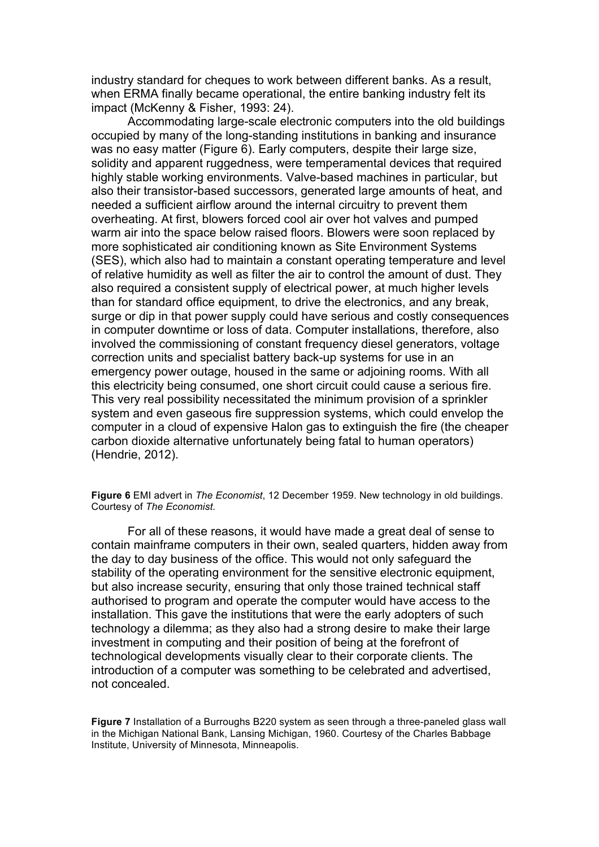industry standard for cheques to work between different banks. As a result, when ERMA finally became operational, the entire banking industry felt its impact (McKenny & Fisher, 1993: 24).

Accommodating large-scale electronic computers into the old buildings occupied by many of the long-standing institutions in banking and insurance was no easy matter (Figure 6). Early computers, despite their large size, solidity and apparent ruggedness, were temperamental devices that required highly stable working environments. Valve-based machines in particular, but also their transistor-based successors, generated large amounts of heat, and needed a sufficient airflow around the internal circuitry to prevent them overheating. At first, blowers forced cool air over hot valves and pumped warm air into the space below raised floors. Blowers were soon replaced by more sophisticated air conditioning known as Site Environment Systems (SES), which also had to maintain a constant operating temperature and level of relative humidity as well as filter the air to control the amount of dust. They also required a consistent supply of electrical power, at much higher levels than for standard office equipment, to drive the electronics, and any break, surge or dip in that power supply could have serious and costly consequences in computer downtime or loss of data. Computer installations, therefore, also involved the commissioning of constant frequency diesel generators, voltage correction units and specialist battery back-up systems for use in an emergency power outage, housed in the same or adjoining rooms. With all this electricity being consumed, one short circuit could cause a serious fire. This very real possibility necessitated the minimum provision of a sprinkler system and even gaseous fire suppression systems, which could envelop the computer in a cloud of expensive Halon gas to extinguish the fire (the cheaper carbon dioxide alternative unfortunately being fatal to human operators) (Hendrie, 2012).

**Figure 6** EMI advert in *The Economist*, 12 December 1959. New technology in old buildings. Courtesy of *The Economist.*

For all of these reasons, it would have made a great deal of sense to contain mainframe computers in their own, sealed quarters, hidden away from the day to day business of the office. This would not only safeguard the stability of the operating environment for the sensitive electronic equipment, but also increase security, ensuring that only those trained technical staff authorised to program and operate the computer would have access to the installation. This gave the institutions that were the early adopters of such technology a dilemma; as they also had a strong desire to make their large investment in computing and their position of being at the forefront of technological developments visually clear to their corporate clients. The introduction of a computer was something to be celebrated and advertised, not concealed.

**Figure 7** Installation of a Burroughs B220 system as seen through a three-paneled glass wall in the Michigan National Bank, Lansing Michigan, 1960. Courtesy of the Charles Babbage Institute, University of Minnesota, Minneapolis.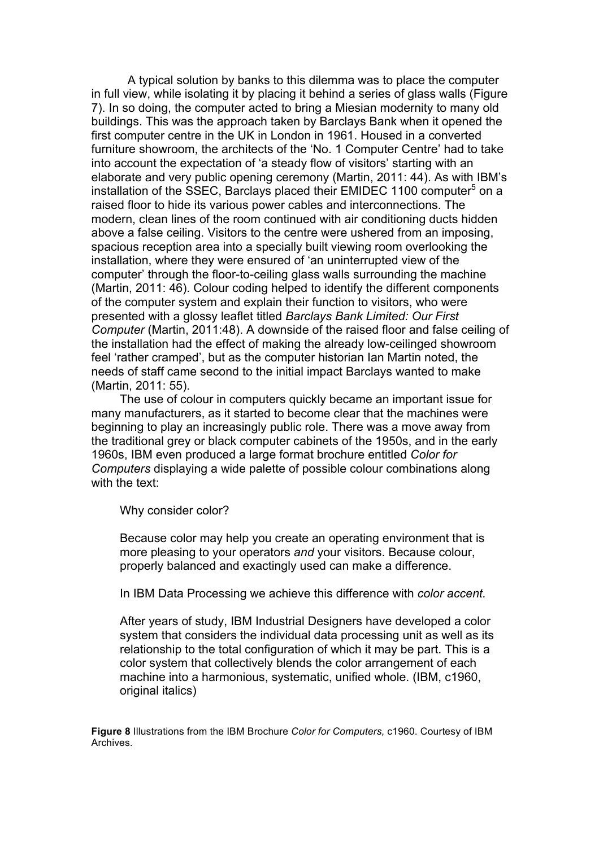A typical solution by banks to this dilemma was to place the computer in full view, while isolating it by placing it behind a series of glass walls (Figure 7). In so doing, the computer acted to bring a Miesian modernity to many old buildings. This was the approach taken by Barclays Bank when it opened the first computer centre in the UK in London in 1961. Housed in a converted furniture showroom, the architects of the 'No. 1 Computer Centre' had to take into account the expectation of 'a steady flow of visitors' starting with an elaborate and very public opening ceremony (Martin, 2011: 44). As with IBM's installation of the SSEC, Barclays placed their EMIDEC 1100 computer<sup>5</sup> on a raised floor to hide its various power cables and interconnections. The modern, clean lines of the room continued with air conditioning ducts hidden above a false ceiling. Visitors to the centre were ushered from an imposing, spacious reception area into a specially built viewing room overlooking the installation, where they were ensured of 'an uninterrupted view of the computer' through the floor-to-ceiling glass walls surrounding the machine (Martin, 2011: 46). Colour coding helped to identify the different components of the computer system and explain their function to visitors, who were presented with a glossy leaflet titled *Barclays Bank Limited: Our First Computer* (Martin, 2011:48). A downside of the raised floor and false ceiling of the installation had the effect of making the already low-ceilinged showroom feel 'rather cramped', but as the computer historian Ian Martin noted, the needs of staff came second to the initial impact Barclays wanted to make (Martin, 2011: 55).

The use of colour in computers quickly became an important issue for many manufacturers, as it started to become clear that the machines were beginning to play an increasingly public role. There was a move away from the traditional grey or black computer cabinets of the 1950s, and in the early 1960s, IBM even produced a large format brochure entitled *Color for Computers* displaying a wide palette of possible colour combinations along with the text:

Why consider color?

Because color may help you create an operating environment that is more pleasing to your operators *and* your visitors. Because colour, properly balanced and exactingly used can make a difference.

In IBM Data Processing we achieve this difference with *color accent.*

After years of study, IBM Industrial Designers have developed a color system that considers the individual data processing unit as well as its relationship to the total configuration of which it may be part. This is a color system that collectively blends the color arrangement of each machine into a harmonious, systematic, unified whole. (IBM, c1960, original italics)

**Figure 8** Illustrations from the IBM Brochure *Color for Computers,* c1960. Courtesy of IBM Archives.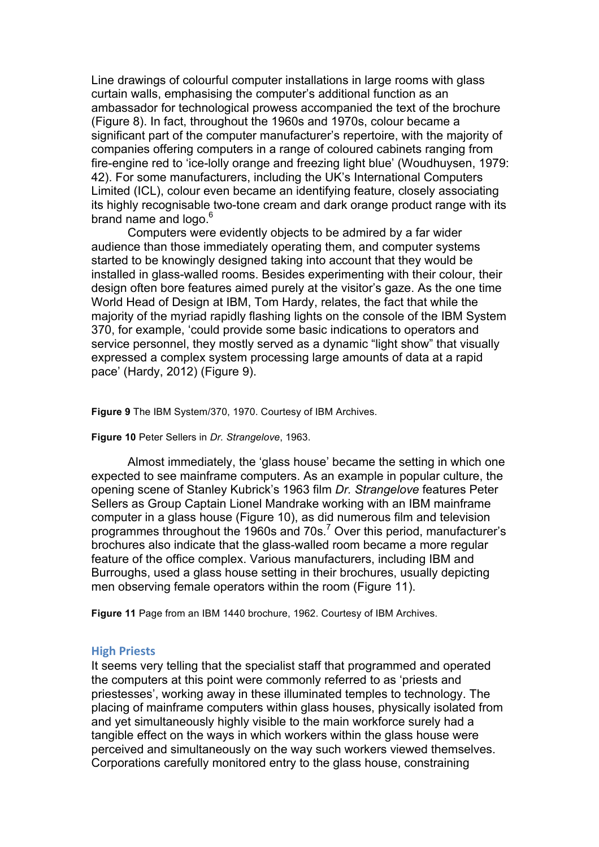Line drawings of colourful computer installations in large rooms with glass curtain walls, emphasising the computer's additional function as an ambassador for technological prowess accompanied the text of the brochure (Figure 8). In fact, throughout the 1960s and 1970s, colour became a significant part of the computer manufacturer's repertoire, with the majority of companies offering computers in a range of coloured cabinets ranging from fire-engine red to 'ice-lolly orange and freezing light blue' (Woudhuysen, 1979: 42). For some manufacturers, including the UK's International Computers Limited (ICL), colour even became an identifying feature, closely associating its highly recognisable two-tone cream and dark orange product range with its brand name and logo.<sup>6</sup>

Computers were evidently objects to be admired by a far wider audience than those immediately operating them, and computer systems started to be knowingly designed taking into account that they would be installed in glass-walled rooms. Besides experimenting with their colour, their design often bore features aimed purely at the visitor's gaze. As the one time World Head of Design at IBM, Tom Hardy, relates, the fact that while the majority of the myriad rapidly flashing lights on the console of the IBM System 370, for example, 'could provide some basic indications to operators and service personnel, they mostly served as a dynamic "light show" that visually expressed a complex system processing large amounts of data at a rapid pace' (Hardy, 2012) (Figure 9).

**Figure 9** The IBM System/370, 1970. Courtesy of IBM Archives.

**Figure 10** Peter Sellers in *Dr. Strangelove*, 1963.

Almost immediately, the 'glass house' became the setting in which one expected to see mainframe computers. As an example in popular culture, the opening scene of Stanley Kubrick's 1963 film *Dr. Strangelove* features Peter Sellers as Group Captain Lionel Mandrake working with an IBM mainframe computer in a glass house (Figure 10), as did numerous film and television programmes throughout the 1960s and 70s.<sup>7</sup> Over this period, manufacturer's brochures also indicate that the glass-walled room became a more regular feature of the office complex. Various manufacturers, including IBM and Burroughs, used a glass house setting in their brochures, usually depicting men observing female operators within the room (Figure 11).

**Figure 11** Page from an IBM 1440 brochure, 1962. Courtesy of IBM Archives.

#### **High Priests**

It seems very telling that the specialist staff that programmed and operated the computers at this point were commonly referred to as 'priests and priestesses', working away in these illuminated temples to technology. The placing of mainframe computers within glass houses, physically isolated from and yet simultaneously highly visible to the main workforce surely had a tangible effect on the ways in which workers within the glass house were perceived and simultaneously on the way such workers viewed themselves. Corporations carefully monitored entry to the glass house, constraining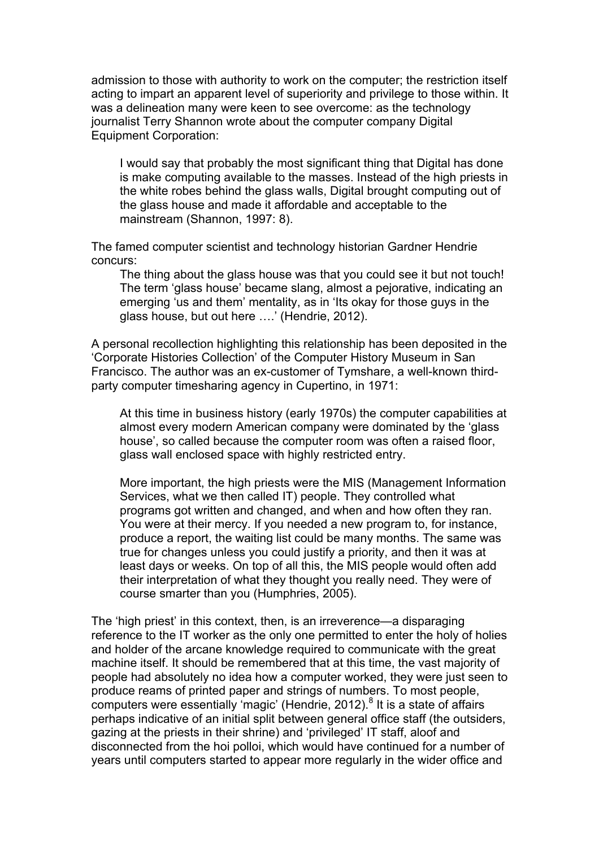admission to those with authority to work on the computer; the restriction itself acting to impart an apparent level of superiority and privilege to those within. It was a delineation many were keen to see overcome: as the technology journalist Terry Shannon wrote about the computer company Digital Equipment Corporation:

I would say that probably the most significant thing that Digital has done is make computing available to the masses. Instead of the high priests in the white robes behind the glass walls, Digital brought computing out of the glass house and made it affordable and acceptable to the mainstream (Shannon, 1997: 8).

The famed computer scientist and technology historian Gardner Hendrie concurs:

The thing about the glass house was that you could see it but not touch! The term 'glass house' became slang, almost a pejorative, indicating an emerging 'us and them' mentality, as in 'Its okay for those guys in the glass house, but out here ….' (Hendrie, 2012).

A personal recollection highlighting this relationship has been deposited in the 'Corporate Histories Collection' of the Computer History Museum in San Francisco. The author was an ex-customer of Tymshare, a well-known thirdparty computer timesharing agency in Cupertino, in 1971:

At this time in business history (early 1970s) the computer capabilities at almost every modern American company were dominated by the 'glass house', so called because the computer room was often a raised floor, glass wall enclosed space with highly restricted entry.

More important, the high priests were the MIS (Management Information Services, what we then called IT) people. They controlled what programs got written and changed, and when and how often they ran. You were at their mercy. If you needed a new program to, for instance, produce a report, the waiting list could be many months. The same was true for changes unless you could justify a priority, and then it was at least days or weeks. On top of all this, the MIS people would often add their interpretation of what they thought you really need. They were of course smarter than you (Humphries, 2005).

The 'high priest' in this context, then, is an irreverence—a disparaging reference to the IT worker as the only one permitted to enter the holy of holies and holder of the arcane knowledge required to communicate with the great machine itself. It should be remembered that at this time, the vast majority of people had absolutely no idea how a computer worked, they were just seen to produce reams of printed paper and strings of numbers. To most people, computers were essentially 'magic' (Hendrie, 2012). <sup>8</sup> It is a state of affairs perhaps indicative of an initial split between general office staff (the outsiders, gazing at the priests in their shrine) and 'privileged' IT staff, aloof and disconnected from the hoi polloi, which would have continued for a number of years until computers started to appear more regularly in the wider office and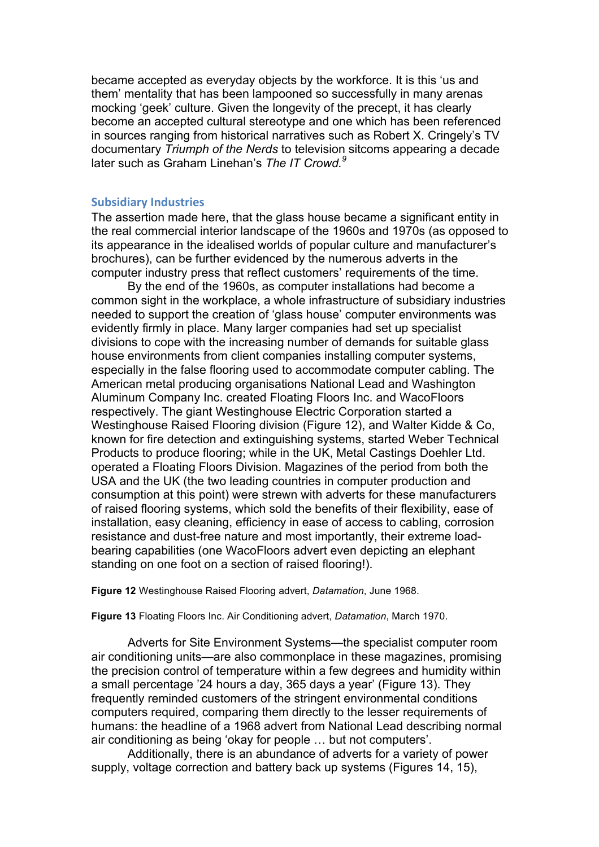became accepted as everyday objects by the workforce. It is this 'us and them' mentality that has been lampooned so successfully in many arenas mocking 'geek' culture. Given the longevity of the precept, it has clearly become an accepted cultural stereotype and one which has been referenced in sources ranging from historical narratives such as Robert X. Cringely's TV documentary *Triumph of the Nerds* to television sitcoms appearing a decade later such as Graham Linehan's *The IT Crowd.<sup>9</sup>*

#### **Subsidiary Industries**

The assertion made here, that the glass house became a significant entity in the real commercial interior landscape of the 1960s and 1970s (as opposed to its appearance in the idealised worlds of popular culture and manufacturer's brochures), can be further evidenced by the numerous adverts in the computer industry press that reflect customers' requirements of the time.

By the end of the 1960s, as computer installations had become a common sight in the workplace, a whole infrastructure of subsidiary industries needed to support the creation of 'glass house' computer environments was evidently firmly in place. Many larger companies had set up specialist divisions to cope with the increasing number of demands for suitable glass house environments from client companies installing computer systems, especially in the false flooring used to accommodate computer cabling. The American metal producing organisations National Lead and Washington Aluminum Company Inc. created Floating Floors Inc. and WacoFloors respectively. The giant Westinghouse Electric Corporation started a Westinghouse Raised Flooring division (Figure 12), and Walter Kidde & Co, known for fire detection and extinguishing systems, started Weber Technical Products to produce flooring; while in the UK, Metal Castings Doehler Ltd. operated a Floating Floors Division. Magazines of the period from both the USA and the UK (the two leading countries in computer production and consumption at this point) were strewn with adverts for these manufacturers of raised flooring systems, which sold the benefits of their flexibility, ease of installation, easy cleaning, efficiency in ease of access to cabling, corrosion resistance and dust-free nature and most importantly, their extreme loadbearing capabilities (one WacoFloors advert even depicting an elephant standing on one foot on a section of raised flooring!).

**Figure 12** Westinghouse Raised Flooring advert, *Datamation*, June 1968.

**Figure 13** Floating Floors Inc. Air Conditioning advert, *Datamation*, March 1970.

Adverts for Site Environment Systems—the specialist computer room air conditioning units—are also commonplace in these magazines, promising the precision control of temperature within a few degrees and humidity within a small percentage '24 hours a day, 365 days a year' (Figure 13). They frequently reminded customers of the stringent environmental conditions computers required, comparing them directly to the lesser requirements of humans: the headline of a 1968 advert from National Lead describing normal air conditioning as being 'okay for people … but not computers'.

Additionally, there is an abundance of adverts for a variety of power supply, voltage correction and battery back up systems (Figures 14, 15).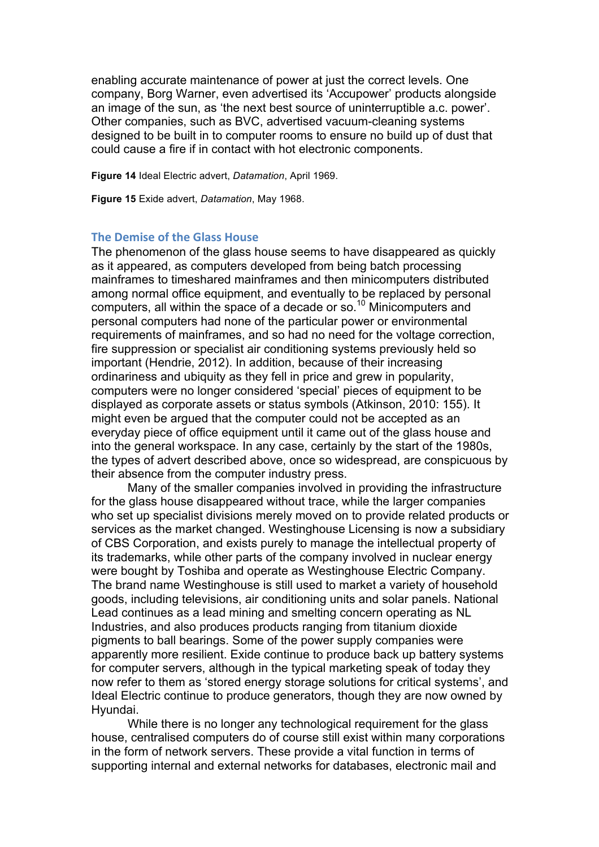enabling accurate maintenance of power at just the correct levels. One company, Borg Warner, even advertised its 'Accupower' products alongside an image of the sun, as 'the next best source of uninterruptible a.c. power'. Other companies, such as BVC, advertised vacuum-cleaning systems designed to be built in to computer rooms to ensure no build up of dust that could cause a fire if in contact with hot electronic components.

**Figure 14** Ideal Electric advert, *Datamation*, April 1969.

**Figure 15** Exide advert, *Datamation*, May 1968.

## **The Demise of the Glass House**

The phenomenon of the glass house seems to have disappeared as quickly as it appeared, as computers developed from being batch processing mainframes to timeshared mainframes and then minicomputers distributed among normal office equipment, and eventually to be replaced by personal computers, all within the space of a decade or so. <sup>10</sup> Minicomputers and personal computers had none of the particular power or environmental requirements of mainframes, and so had no need for the voltage correction, fire suppression or specialist air conditioning systems previously held so important (Hendrie, 2012). In addition, because of their increasing ordinariness and ubiquity as they fell in price and grew in popularity, computers were no longer considered 'special' pieces of equipment to be displayed as corporate assets or status symbols (Atkinson, 2010: 155). It might even be argued that the computer could not be accepted as an everyday piece of office equipment until it came out of the glass house and into the general workspace. In any case, certainly by the start of the 1980s, the types of advert described above, once so widespread, are conspicuous by their absence from the computer industry press.

Many of the smaller companies involved in providing the infrastructure for the glass house disappeared without trace, while the larger companies who set up specialist divisions merely moved on to provide related products or services as the market changed. Westinghouse Licensing is now a subsidiary of CBS Corporation, and exists purely to manage the intellectual property of its trademarks, while other parts of the company involved in nuclear energy were bought by Toshiba and operate as Westinghouse Electric Company. The brand name Westinghouse is still used to market a variety of household goods, including televisions, air conditioning units and solar panels. National Lead continues as a lead mining and smelting concern operating as NL Industries, and also produces products ranging from titanium dioxide pigments to ball bearings. Some of the power supply companies were apparently more resilient. Exide continue to produce back up battery systems for computer servers, although in the typical marketing speak of today they now refer to them as 'stored energy storage solutions for critical systems', and Ideal Electric continue to produce generators, though they are now owned by Hyundai.

While there is no longer any technological requirement for the glass house, centralised computers do of course still exist within many corporations in the form of network servers. These provide a vital function in terms of supporting internal and external networks for databases, electronic mail and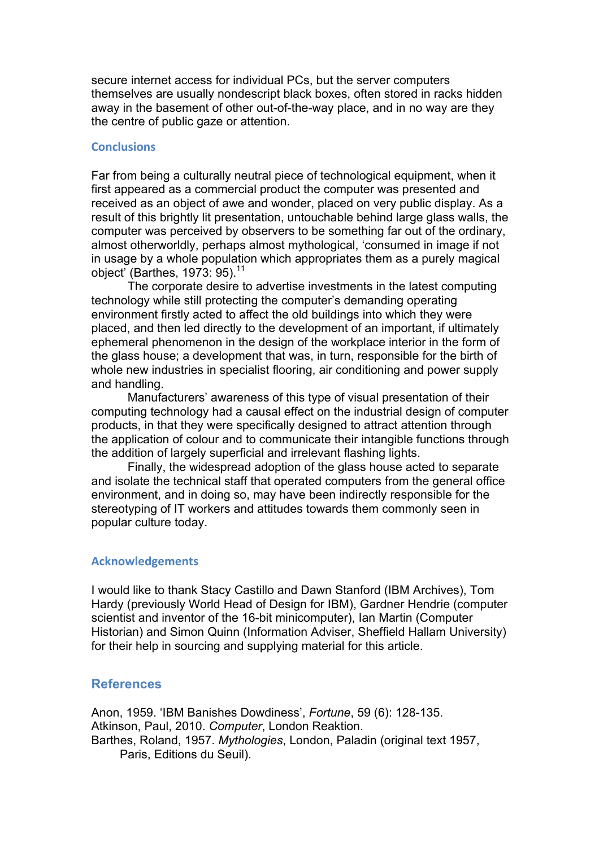secure internet access for individual PCs, but the server computers themselves are usually nondescript black boxes, often stored in racks hidden away in the basement of other out-of-the-way place, and in no way are they the centre of public gaze or attention.

#### **Conclusions**

Far from being a culturally neutral piece of technological equipment, when it first appeared as a commercial product the computer was presented and received as an object of awe and wonder, placed on very public display. As a result of this brightly lit presentation, untouchable behind large glass walls, the computer was perceived by observers to be something far out of the ordinary, almost otherworldly, perhaps almost mythological, 'consumed in image if not in usage by a whole population which appropriates them as a purely magical object' (Barthes, 1973: 95).<sup>11</sup>

The corporate desire to advertise investments in the latest computing technology while still protecting the computer's demanding operating environment firstly acted to affect the old buildings into which they were placed, and then led directly to the development of an important, if ultimately ephemeral phenomenon in the design of the workplace interior in the form of the glass house; a development that was, in turn, responsible for the birth of whole new industries in specialist flooring, air conditioning and power supply and handling.

Manufacturers' awareness of this type of visual presentation of their computing technology had a causal effect on the industrial design of computer products, in that they were specifically designed to attract attention through the application of colour and to communicate their intangible functions through the addition of largely superficial and irrelevant flashing lights.

Finally, the widespread adoption of the glass house acted to separate and isolate the technical staff that operated computers from the general office environment, and in doing so, may have been indirectly responsible for the stereotyping of IT workers and attitudes towards them commonly seen in popular culture today.

#### **Acknowledgements**

I would like to thank Stacy Castillo and Dawn Stanford (IBM Archives), Tom Hardy (previously World Head of Design for IBM), Gardner Hendrie (computer scientist and inventor of the 16-bit minicomputer), Ian Martin (Computer Historian) and Simon Quinn (Information Adviser, Sheffield Hallam University) for their help in sourcing and supplying material for this article.

#### **References**

Anon, 1959. 'IBM Banishes Dowdiness', *Fortune*, 59 (6): 128-135. Atkinson, Paul, 2010. *Computer*, London Reaktion. Barthes, Roland, 1957. *Mythologies*, London, Paladin (original text 1957, Paris, Editions du Seuil).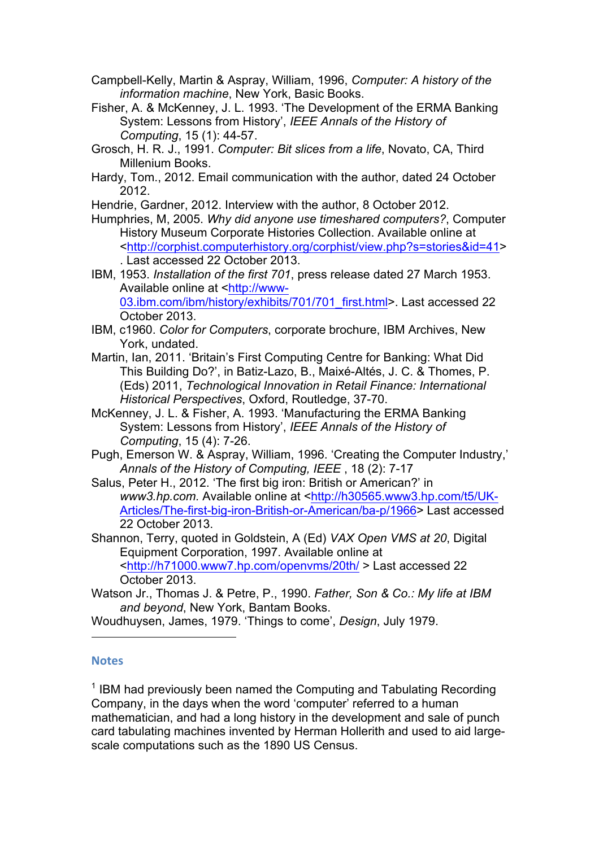Campbell-Kelly, Martin & Aspray, William, 1996, *Computer: A history of the information machine*, New York, Basic Books.

Fisher, A. & McKenney, J. L. 1993. 'The Development of the ERMA Banking System: Lessons from History', *IEEE Annals of the History of Computing*, 15 (1): 44-57.

Grosch, H. R. J., 1991. *Computer: Bit slices from a life*, Novato, CA, Third Millenium Books.

Hardy, Tom., 2012. Email communication with the author, dated 24 October 2012.

Hendrie, Gardner, 2012. Interview with the author, 8 October 2012.

Humphries, M, 2005. *Why did anyone use timeshared computers?*, Computer History Museum Corporate Histories Collection. Available online at <http://corphist.computerhistory.org/corphist/view.php?s=stories&id=41> . Last accessed 22 October 2013.

IBM, 1953. *Installation of the first 701*, press release dated 27 March 1953. Available online at <http://www-03.ibm.com/ibm/history/exhibits/701/701\_first.html>. Last accessed 22 October 2013.

IBM, c1960. *Color for Computers*, corporate brochure, IBM Archives, New York, undated.

Martin, Ian, 2011. 'Britain's First Computing Centre for Banking: What Did This Building Do?', in Batiz-Lazo, B., Maixé-Altés, J. C. & Thomes, P. (Eds) 2011, *Technological Innovation in Retail Finance: International Historical Perspectives*, Oxford, Routledge, 37-70.

McKenney, J. L. & Fisher, A. 1993. 'Manufacturing the ERMA Banking System: Lessons from History', *IEEE Annals of the History of Computing*, 15 (4): 7-26.

Pugh, Emerson W. & Aspray, William, 1996. 'Creating the Computer Industry,' *Annals of the History of Computing, IEEE* , 18 (2): 7-17

Salus, Peter H., 2012. 'The first big iron: British or American?' in *www3.hp.com.* Available online at <http://h30565.www3.hp.com/t5/UK-Articles/The-first-big-iron-British-or-American/ba-p/1966> Last accessed 22 October 2013.

Shannon, Terry, quoted in Goldstein, A (Ed) *VAX Open VMS at 20*, Digital Equipment Corporation, 1997. Available online at <http://h71000.www7.hp.com/openvms/20th/ > Last accessed 22 October 2013.

Watson Jr., Thomas J. & Petre, P., 1990. *Father, Son & Co.: My life at IBM and beyond*, New York, Bantam Books.

Woudhuysen, James, 1979. 'Things to come', *Design*, July 1979.

#### **Notes**

 

 $1$  IBM had previously been named the Computing and Tabulating Recording Company, in the days when the word 'computer' referred to a human mathematician, and had a long history in the development and sale of punch card tabulating machines invented by Herman Hollerith and used to aid largescale computations such as the 1890 US Census.